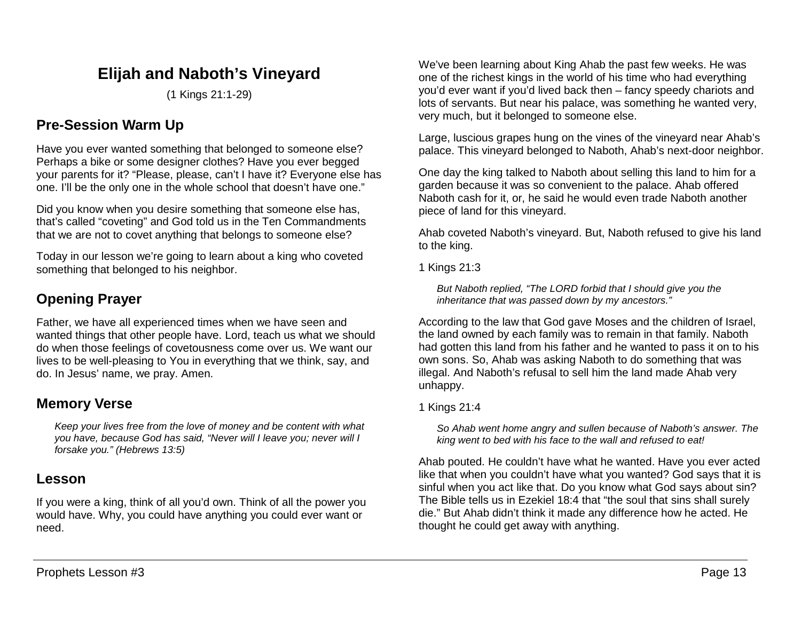# **Elijah and Naboth's Vineyard**

(1 Kings 21:1-29)

## **Pre-Session Warm Up**

Have you ever wanted something that belonged to someone else? Perhaps a bike or some designer clothes? Have you ever begged your parents for it? "Please, please, can't I have it? Everyone else has one. I'll be the only one in the whole school that doesn't have one."

Did you know when you desire something that someone else has, that's called "coveting" and God told us in the Ten Commandments that we are not to covet anything that belongs to someone else?

Today in our lesson we're going to learn about a king who coveted something that belonged to his neighbor.

# **Opening Prayer**

Father, we have all experienced times when we have seen and wanted things that other people have. Lord, teach us what we should do when those feelings of covetousness come over us. We want our lives to be well-pleasing to You in everything that we think, say, and do. In Jesus' name, we pray. Amen.

### **Memory Verse**

*Keep your lives free from the love of money and be content with what you have, because God has said, "Never will I leave you; never will I forsake you." (Hebrews 13:5)*

### **Lesson**

If you were a king, think of all you'd own. Think of all the power you would have. Why, you could have anything you could ever want or need.

We've been learning about King Ahab the past few weeks. He was one of the richest kings in the world of his time who had everything you'd ever want if you'd lived back then – fancy speedy chariots and lots of servants. But near his palace, was something he wanted very, very much, but it belonged to someone else.

Large, luscious grapes hung on the vines of the vineyard near Ahab's palace. This vineyard belonged to Naboth, Ahab's next-door neighbor.

One day the king talked to Naboth about selling this land to him for a garden because it was so convenient to the palace. Ahab offered Naboth cash for it, or, he said he would even trade Naboth another piece of land for this vineyard.

Ahab coveted Naboth's vineyard. But, Naboth refused to give his land to the king.

1 Kings 21:3

*But Naboth replied, "The LORD forbid that I should give you the inheritance that was passed down by my ancestors."*

According to the law that God gave Moses and the children of Israel, the land owned by each family was to remain in that family. Naboth had gotten this land from his father and he wanted to pass it on to his own sons. So, Ahab was asking Naboth to do something that was illegal. And Naboth's refusal to sell him the land made Ahab very unhappy.

### 1 Kings 21:4

*So Ahab went home angry and sullen because of Naboth's answer. The king went to bed with his face to the wall and refused to eat!* 

Ahab pouted. He couldn't have what he wanted. Have you ever acted like that when you couldn't have what you wanted? God says that it is sinful when you act like that. Do you know what God says about sin? The Bible tells us in Ezekiel 18:4 that "the soul that sins shall surely die." But Ahab didn't think it made any difference how he acted. He thought he could get away with anything.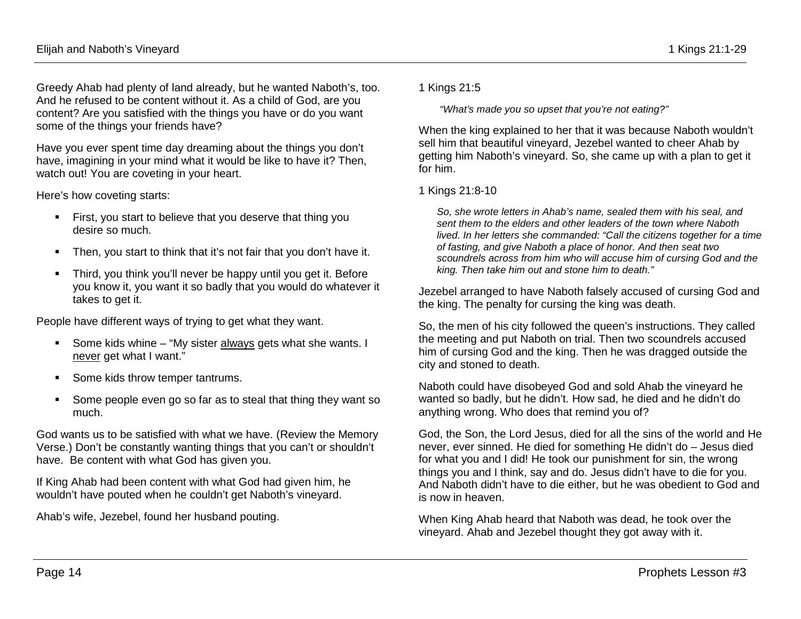Greedy Ahab had plenty of land already, but he wanted Naboth's, too. And he refused to be content without it. As a child of God, are you content? Are you satisfied with the things you have or do you want some of the things your friends have?

Have you ever spent time day dreaming about the things you don't have, imagining in your mind what it would be like to have it? Then, watch out! You are coveting in your heart.

Here's how coveting starts:

- First, you start to believe that you deserve that thing you desire so much.
- Then, you start to think that it's not fair that you don't have it.
- Third, you think you'll never be happy until you get it. Before you know it, you want it so badly that you would do whatever it takes to get it.

People have different ways of trying to get what they want.

- Some kids whine "My sister always gets what she wants. I never get what I want."
- **Some kids throw temper tantrums.**
- Some people even go so far as to steal that thing they want so much.

God wants us to be satisfied with what we have. (Review the Memory Verse.) Don't be constantly wanting things that you can't or shouldn't have. Be content with what God has given you.

If King Ahab had been content with what God had given him, he wouldn't have pouted when he couldn't get Naboth's vineyard.

Ahab's wife, Jezebel, found her husband pouting.

1 Kings 21:5

*"What's made you so upset that you're not eating?"* 

When the king explained to her that it was because Naboth wouldn't sell him that beautiful vineyard, Jezebel wanted to cheer Ahab by getting him Naboth's vineyard. So, she came up with a plan to get it for him.

#### 1 Kings 21:8-10

*So, she wrote letters in Ahab's name, sealed them with his seal, and sent them to the elders and other leaders of the town where Naboth lived. In her letters she commanded: "Call the citizens together for a time of fasting, and give Naboth a place of honor. And then seat two scoundrels across from him who will accuse him of cursing God and the king. Then take him out and stone him to death."* 

Jezebel arranged to have Naboth falsely accused of cursing God and the king. The penalty for cursing the king was death.

So, the men of his city followed the queen's instructions. They called the meeting and put Naboth on trial. Then two scoundrels accused him of cursing God and the king. Then he was dragged outside the city and stoned to death.

Naboth could have disobeyed God and sold Ahab the vineyard he wanted so badly, but he didn't. How sad, he died and he didn't do anything wrong. Who does that remind you of?

God, the Son, the Lord Jesus, died for all the sins of the world and He never, ever sinned. He died for something He didn't do – Jesus died for what you and I did! He took our punishment for sin, the wrong things you and I think, say and do. Jesus didn't have to die for you. And Naboth didn't have to die either, but he was obedient to God and is now in heaven.

When King Ahab heard that Naboth was dead, he took over the vineyard. Ahab and Jezebel thought they got away with it.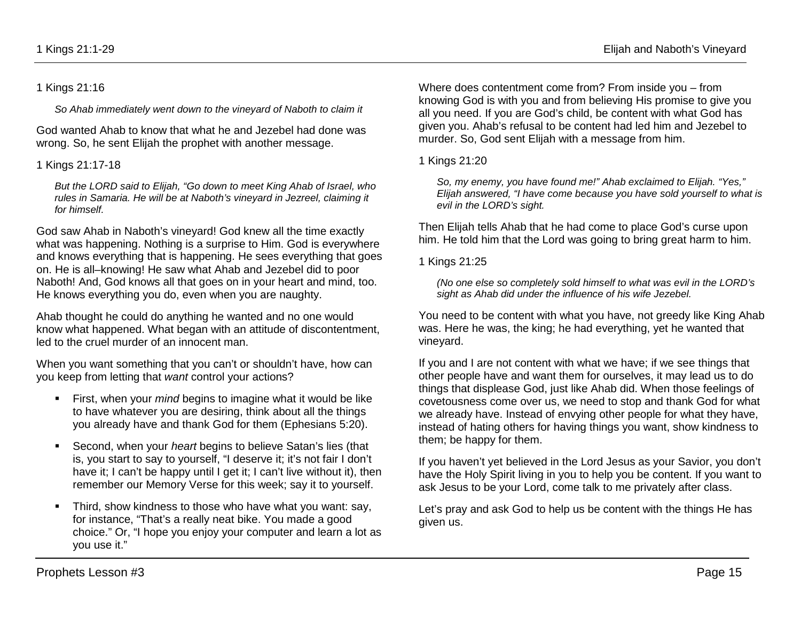#### 1 Kings 21:16

*So Ahab immediately went down to the vineyard of Naboth to claim it*

God wanted Ahab to know that what he and Jezebel had done was wrong. So, he sent Elijah the prophet with another message.

#### 1 Kings 21:17-18

*But the LORD said to Elijah, "Go down to meet King Ahab of Israel, who rules in Samaria. He will be at Naboth's vineyard in Jezreel, claiming it for himself.* 

God saw Ahab in Naboth's vineyard! God knew all the time exactly what was happening. Nothing is a surprise to Him. God is everywhere and knows everything that is happening. He sees everything that goes on. He is all–knowing! He saw what Ahab and Jezebel did to poor Naboth! And, God knows all that goes on in your heart and mind, too. He knows everything you do, even when you are naughty.

Ahab thought he could do anything he wanted and no one would know what happened. What began with an attitude of discontentment, led to the cruel murder of an innocent man.

When you want something that you can't or shouldn't have, how can you keep from letting that *want* control your actions?

- First, when your *mind* begins to imagine what it would be like to have whatever you are desiring, think about all the things you already have and thank God for them (Ephesians 5:20).
- Second, when your *heart* begins to believe Satan's lies (that is, you start to say to yourself, "I deserve it; it's not fair I don't have it; I can't be happy until I get it; I can't live without it), then remember our Memory Verse for this week; say it to yourself.
- **Third, show kindness to those who have what you want: say,** for instance, "That's a really neat bike. You made a good choice." Or, "I hope you enjoy your computer and learn a lot as you use it."

Where does contentment come from? From inside you – from knowing God is with you and from believing His promise to give you all you need. If you are God's child, be content with what God has given you. Ahab's refusal to be content had led him and Jezebel to murder. So, God sent Elijah with a message from him.

1 Kings 21:20

*So, my enemy, you have found me!" Ahab exclaimed to Elijah. "Yes," Elijah answered, "I have come because you have sold yourself to what is evil in the LORD's sight.*

Then Elijah tells Ahab that he had come to place God's curse upon him. He told him that the Lord was going to bring great harm to him.

1 Kings 21:25

*(No one else so completely sold himself to what was evil in the LORD's sight as Ahab did under the influence of his wife Jezebel.*

You need to be content with what you have, not greedy like King Ahab was. Here he was, the king; he had everything, yet he wanted that vineyard.

If you and I are not content with what we have; if we see things that other people have and want them for ourselves, it may lead us to do things that displease God, just like Ahab did. When those feelings of covetousness come over us, we need to stop and thank God for what we already have. Instead of envying other people for what they have, instead of hating others for having things you want, show kindness to them; be happy for them.

If you haven't yet believed in the Lord Jesus as your Savior, you don't have the Holy Spirit living in you to help you be content. If you want to ask Jesus to be your Lord, come talk to me privately after class.

Let's pray and ask God to help us be content with the things He has given us.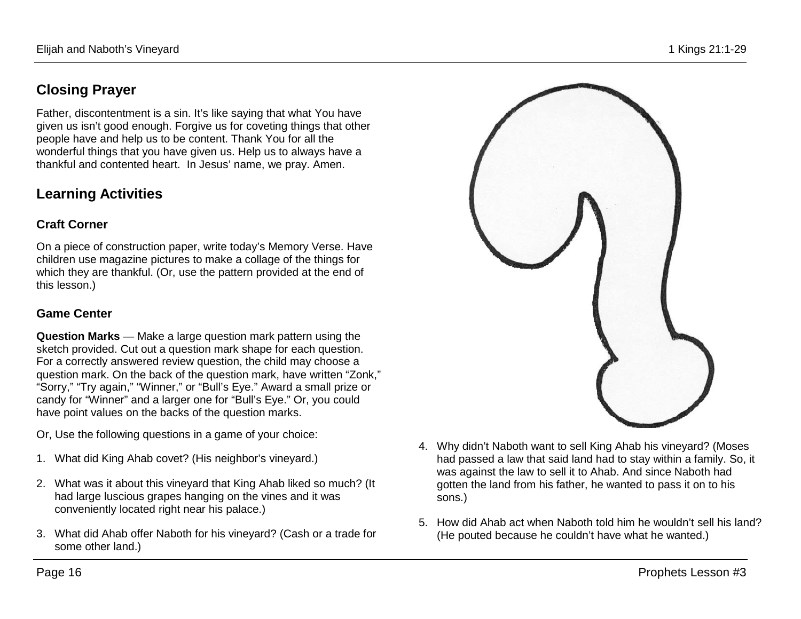## **Closing Prayer**

Father, discontentment is a sin. It's like saying that what You have given us isn't good enough. Forgive us for coveting things that other people have and help us to be content. Thank You for all the wonderful things that you have given us. Help us to always have a thankful and contented heart. In Jesus' name, we pray. Amen.

## **Learning Activities**

### **Craft Corner**

On a piece of construction paper, write today's Memory Verse. Have children use magazine pictures to make a collage of the things for which they are thankful. (Or, use the pattern provided at the end of this lesson.)

### **Game Center**

**Question Marks** — Make a large question mark pattern using the sketch provided. Cut out a question mark shape for each question. For a correctly answered review question, the child may choose a question mark. On the back of the question mark, have written "Zonk," "Sorry," "Try again," "Winner," or "Bull's Eye." Award a small prize or candy for "Winner" and a larger one for "Bull's Eye." Or, you could have point values on the backs of the question marks.

Or, Use the following questions in a game of your choice:

- 1. What did King Ahab covet? (His neighbor's vineyard.)
- 2. What was it about this vineyard that King Ahab liked so much? (It had large luscious grapes hanging on the vines and it was conveniently located right near his palace.)
- 3. What did Ahab offer Naboth for his vineyard? (Cash or a trade for some other land.)



- 4. Why didn't Naboth want to sell King Ahab his vineyard? (Moses had passed a law that said land had to stay within a family. So, it was against the law to sell it to Ahab. And since Naboth had gotten the land from his father, he wanted to pass it on to his sons.)
- 5. How did Ahab act when Naboth told him he wouldn't sell his land? (He pouted because he couldn't have what he wanted.)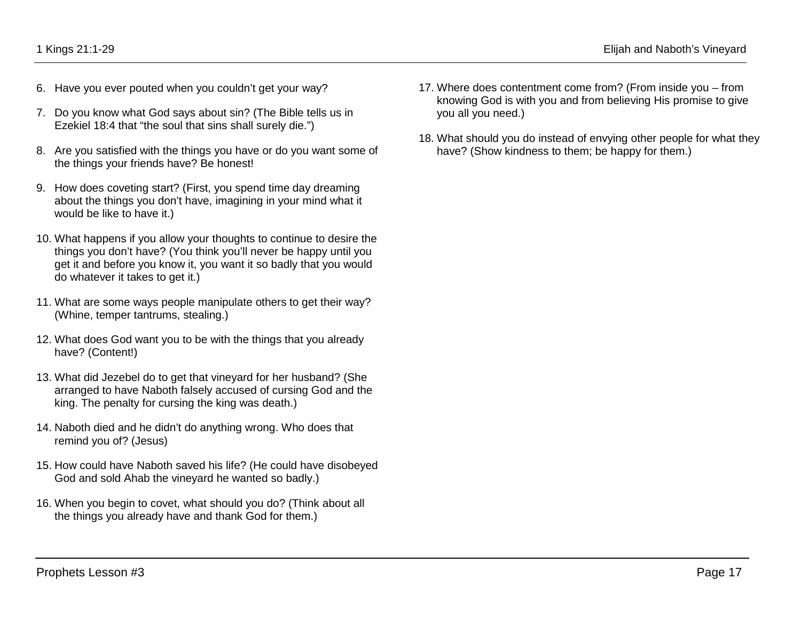- 6. Have you ever pouted when you couldn't get your way?
- 7. Do you know what God says about sin? (The Bible tells us in Ezekiel 18:4 that "the soul that sins shall surely die.")
- 8. Are you satisfied with the things you have or do you want some of the things your friends have? Be honest!
- 9. How does coveting start? (First, you spend time day dreaming about the things you don't have, imagining in your mind what it would be like to have it.)
- 10. What happens if you allow your thoughts to continue to desire the things you don't have? (You think you'll never be happy until you get it and before you know it, you want it so badly that you would do whatever it takes to get it.)
- 11. What are some ways people manipulate others to get their way? (Whine, temper tantrums, stealing.)
- 12. What does God want you to be with the things that you already have? (Content!)
- 13. What did Jezebel do to get that vineyard for her husband? (She arranged to have Naboth falsely accused of cursing God and the king. The penalty for cursing the king was death.)
- 14. Naboth died and he didn't do anything wrong. Who does that remind you of? (Jesus)
- 15. How could have Naboth saved his life? (He could have disobeyed God and sold Ahab the vineyard he wanted so badly.)
- 16. When you begin to covet, what should you do? (Think about all the things you already have and thank God for them.)
- 17. Where does contentment come from? (From inside you from knowing God is with you and from believing His promise to give you all you need.)
- 18. What should you do instead of envying other people for what they have? (Show kindness to them; be happy for them.)